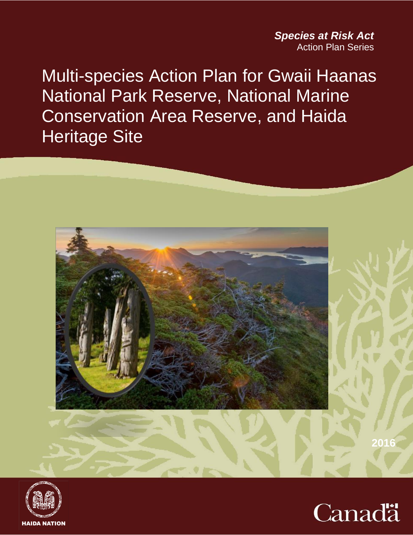*Species at Risk Act* Action Plan Series

Multi-species Action Plan for Gwaii Haanas National Park Reserve, National Marine Conservation Area Reserve, and Haida Heritage Site





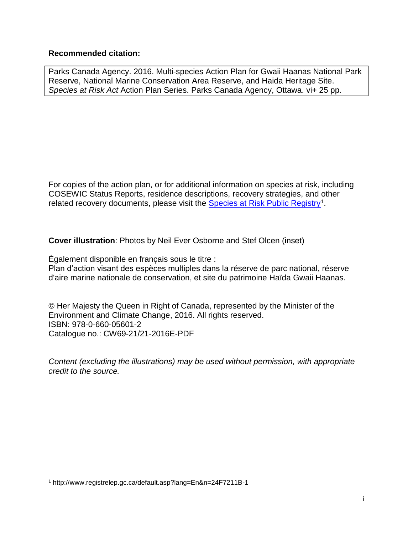#### **Recommended citation:**

Parks Canada Agency. 2016. Multi-species Action Plan for Gwaii Haanas National Park Reserve, National Marine Conservation Area Reserve, and Haida Heritage Site. *Species at Risk Act* Action Plan Series. Parks Canada Agency, Ottawa. vi+ 25 pp.

For copies of the action plan, or for additional information on species at risk, including COSEWIC Status Reports, residence descriptions, recovery strategies, and other related recovery documents, please visit the **[Species at Risk Public Registry](http://www.sararegistry.gc.ca/default.asp?lang=En&n=24F7211B-1)**<sup>1</sup>.

**Cover illustration**: Photos by Neil Ever Osborne and Stef Olcen (inset)

Également disponible en français sous le titre :

Plan d'action visant des espèces multiples dans la [réserve de parc national, réserve](http://www.pc.gc.ca/fra/pn-np/bc/gwaiihaanas/index.aspx)  [d'aire marine nationale de conservation, et site du patrimoine Haïda](http://www.pc.gc.ca/fra/pn-np/bc/gwaiihaanas/index.aspx) Gwaii Haanas.

© Her Majesty the Queen in Right of Canada, represented by the Minister of the Environment and Climate Change, 2016. All rights reserved. ISBN: 978-0-660-05601-2 Catalogue no.: CW69-21/21-2016E-PDF

*Content (excluding the illustrations) may be used without permission, with appropriate credit to the source.* 

 $\overline{a}$ 

<sup>1</sup> http://www.registrelep.gc.ca/default.asp?lang=En&n=24F7211B-1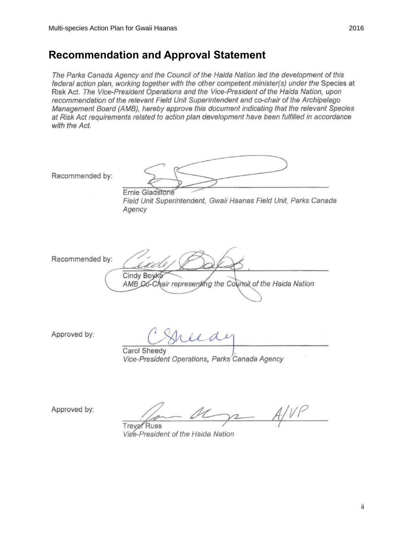### <span id="page-2-0"></span>**Recommendation and Approval Statement**

The Parks Canada Agency and the Council of the Haida Nation led the development of this federal action plan, working together with the other competent minister(s) under the Species at Risk Act. The Vice-President Operations and the Vice-President of the Haida Nation, upon recommendation of the relevant Field Unit Superintendent and co-chair of the Archipelago Management Board (AMB), hereby approve this document indicating that the relevant Species at Risk Act requirements related to action plan development have been fulfilled in accordance with the Act.

Recommended by: Ernie Gladstone Field Unit Superintendent, Gwaii Haanas Field Unit, Parks Canada Agency Recommended by: Cindy Boyk AMB Go-Chair representing the Council of the Haida Nation Approved by: Carol Sheedy Vice-President Operations, Parks Canada Agency

Approved by:

**Trever** Russ Vige-President of the Haida Nation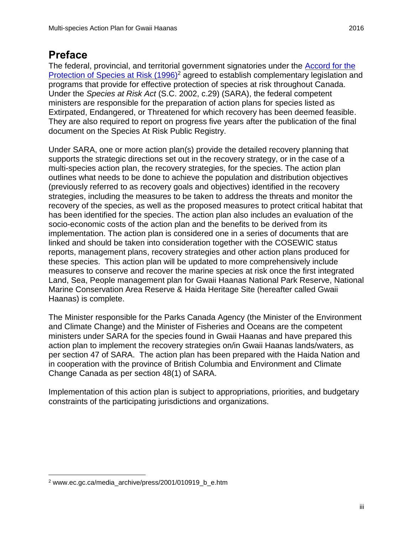### <span id="page-3-0"></span>**Preface**

The federal, provincial, and territorial government signatories under the [Accord for the](http://www.ec.gc.ca/media_archive/press/2001/010919_b_e.htm)  [Protection of Species at Risk \(1996\)](http://www.ec.gc.ca/media_archive/press/2001/010919_b_e.htm)<sup>2</sup> agreed to establish complementary legislation and programs that provide for effective protection of species at risk throughout Canada. Under the *Species at Risk Act* (S.C. 2002, c.29) (SARA), the federal competent ministers are responsible for the preparation of action plans for species listed as Extirpated, Endangered, or Threatened for which recovery has been deemed feasible. They are also required to report on progress five years after the publication of the final document on the Species At Risk Public Registry.

Under SARA, one or more action plan(s) provide the detailed recovery planning that supports the strategic directions set out in the recovery strategy, or in the case of a multi-species action plan, the recovery strategies, for the species. The action plan outlines what needs to be done to achieve the population and distribution objectives (previously referred to as recovery goals and objectives) identified in the recovery strategies, including the measures to be taken to address the threats and monitor the recovery of the species, as well as the proposed measures to protect critical habitat that has been identified for the species. The action plan also includes an evaluation of the socio-economic costs of the action plan and the benefits to be derived from its implementation. The action plan is considered one in a series of documents that are linked and should be taken into consideration together with the COSEWIC status reports, management plans, recovery strategies and other action plans produced for these species. This action plan will be updated to more comprehensively include measures to conserve and recover the marine species at risk once the first integrated Land, Sea, People management plan for Gwaii Haanas National Park Reserve, National Marine Conservation Area Reserve & Haida Heritage Site (hereafter called Gwaii Haanas) is complete.

The Minister responsible for the Parks Canada Agency (the Minister of the Environment and Climate Change) and the Minister of Fisheries and Oceans are the competent ministers under SARA for the species found in Gwaii Haanas and have prepared this action plan to implement the recovery strategies on/in Gwaii Haanas lands/waters, as per section 47 of SARA. The action plan has been prepared with the Haida Nation and in cooperation with the province of British Columbia and Environment and Climate Change Canada as per section 48(1) of SARA.

Implementation of this action plan is subject to appropriations, priorities, and budgetary constraints of the participating jurisdictions and organizations.

 $\overline{a}$ 

<sup>2</sup> www.ec.gc.ca/media\_archive/press/2001/010919\_b\_e.htm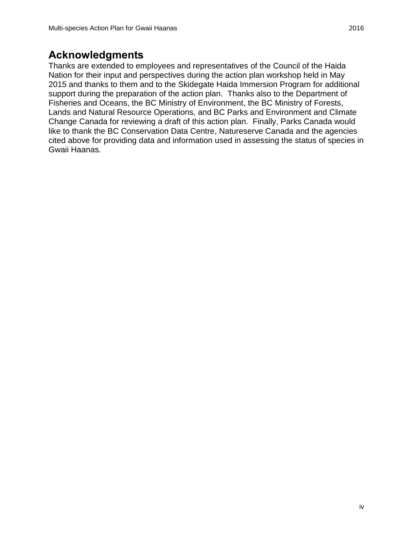### <span id="page-4-0"></span>**Acknowledgments**

Thanks are extended to employees and representatives of the Council of the Haida Nation for their input and perspectives during the action plan workshop held in May 2015 and thanks to them and to the Skidegate Haida Immersion Program for additional support during the preparation of the action plan. Thanks also to the Department of Fisheries and Oceans, the BC Ministry of Environment, the BC Ministry of Forests, Lands and Natural Resource Operations, and BC Parks and Environment and Climate Change Canada for reviewing a draft of this action plan. Finally, Parks Canada would like to thank the BC Conservation Data Centre, Natureserve Canada and the agencies cited above for providing data and information used in assessing the status of species in Gwaii Haanas.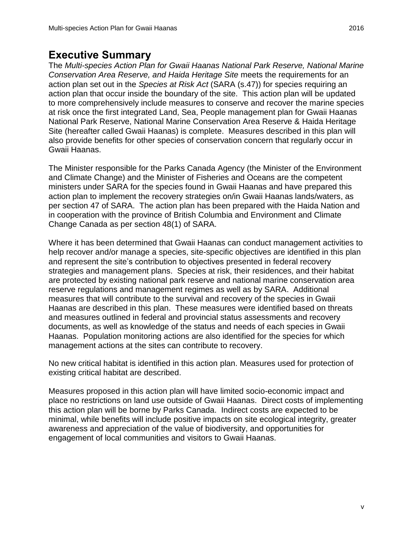### <span id="page-5-0"></span>**Executive Summary**

The *Multi-species Action Plan for Gwaii Haanas National Park Reserve, National Marine Conservation Area Reserve, and Haida Heritage Site* meets the requirements for an action plan set out in the *Species at Risk Act* (SARA (s.47)) for species requiring an action plan that occur inside the boundary of the site. This action plan will be updated to more comprehensively include measures to conserve and recover the marine species at risk once the first integrated Land, Sea, People management plan for Gwaii Haanas National Park Reserve, National Marine Conservation Area Reserve & Haida Heritage Site (hereafter called Gwaii Haanas) is complete. Measures described in this plan will also provide benefits for other species of conservation concern that regularly occur in Gwaii Haanas.

The Minister responsible for the Parks Canada Agency (the Minister of the Environment and Climate Change) and the Minister of Fisheries and Oceans are the competent ministers under SARA for the species found in Gwaii Haanas and have prepared this action plan to implement the recovery strategies on/in Gwaii Haanas lands/waters, as per section 47 of SARA. The action plan has been prepared with the Haida Nation and in cooperation with the province of British Columbia and Environment and Climate Change Canada as per section 48(1) of SARA.

Where it has been determined that Gwaii Haanas can conduct management activities to help recover and/or manage a species, site-specific objectives are identified in this plan and represent the site's contribution to objectives presented in federal recovery strategies and management plans. Species at risk, their residences, and their habitat are protected by existing national park reserve and national marine conservation area reserve regulations and management regimes as well as by SARA. Additional measures that will contribute to the survival and recovery of the species in Gwaii Haanas are described in this plan. These measures were identified based on threats and measures outlined in federal and provincial status assessments and recovery documents, as well as knowledge of the status and needs of each species in Gwaii Haanas. Population monitoring actions are also identified for the species for which management actions at the sites can contribute to recovery.

No new critical habitat is identified in this action plan. Measures used for protection of existing critical habitat are described.

Measures proposed in this action plan will have limited socio-economic impact and place no restrictions on land use outside of Gwaii Haanas. Direct costs of implementing this action plan will be borne by Parks Canada. Indirect costs are expected to be minimal, while benefits will include positive impacts on site ecological integrity, greater awareness and appreciation of the value of biodiversity, and opportunities for engagement of local communities and visitors to Gwaii Haanas.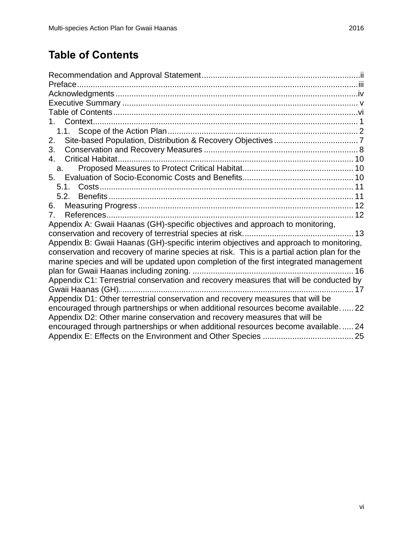# <span id="page-6-0"></span>**Table of Contents**

| 2.                                                                                         |
|--------------------------------------------------------------------------------------------|
| 3.                                                                                         |
| 4.                                                                                         |
| a.                                                                                         |
| 5.                                                                                         |
| 5.1.                                                                                       |
| 5.2.                                                                                       |
| 6.                                                                                         |
| 7.                                                                                         |
| Appendix A: Gwaii Haanas (GH)-specific objectives and approach to monitoring,              |
|                                                                                            |
| Appendix B: Gwaii Haanas (GH)-specific interim objectives and approach to monitoring,      |
| conservation and recovery of marine species at risk. This is a partial action plan for the |
| marine species and will be updated upon completion of the first integrated management      |
|                                                                                            |
| Appendix C1: Terrestrial conservation and recovery measures that will be conducted by      |
| 17                                                                                         |
| Appendix D1: Other terrestrial conservation and recovery measures that will be             |
| encouraged through partnerships or when additional resources become available 22           |
| Appendix D2: Other marine conservation and recovery measures that will be                  |
| encouraged through partnerships or when additional resources become available 24           |
|                                                                                            |
|                                                                                            |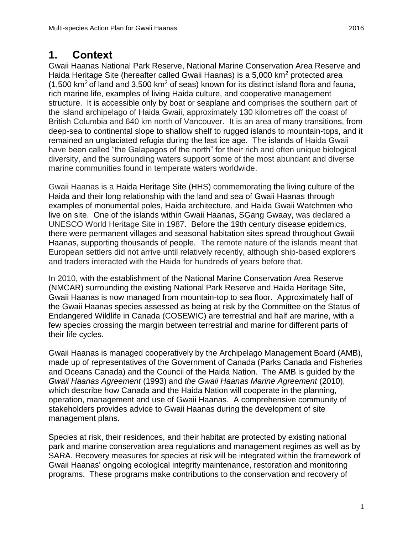### <span id="page-7-0"></span>**1. Context**

Gwaii Haanas National Park Reserve, National Marine Conservation Area Reserve and Haida Heritage Site (hereafter called Gwaii Haanas) is a 5,000 km<sup>2</sup> protected area  $(1,500 \text{ km}^2 \text{ of land and } 3,500 \text{ km}^2 \text{ of seas})$  known for its distinct island flora and fauna, rich marine life, examples of living Haida culture, and cooperative management structure. It is accessible only by boat or seaplane and comprises the southern part of the island archipelago of Haida Gwaii, approximately 130 kilometres off the coast of British Columbia and 640 km north of Vancouver. It is an area of many transitions, from deep-sea to continental slope to shallow shelf to rugged islands to mountain-tops, and it remained an unglaciated refugia during the last ice age. The islands of Haida Gwaii have been called "the Galapagos of the north" for their rich and often unique biological diversity, and the surrounding waters support some of the most abundant and diverse marine communities found in temperate waters worldwide.

Gwaii Haanas is a Haida Heritage Site (HHS) commemorating the living culture of the Haida and their long relationship with the land and sea of Gwaii Haanas through examples of monumental poles, Haida architecture, and Haida Gwaii Watchmen who live on site. One of the islands within Gwaii Haanas, SGang Gwaay, was declared a UNESCO World Heritage Site in 1987. Before the 19th century disease epidemics, there were permanent villages and seasonal habitation sites spread throughout Gwaii Haanas, supporting thousands of people. The remote nature of the islands meant that European settlers did not arrive until relatively recently, although ship-based explorers and traders interacted with the Haida for hundreds of years before that.

In 2010, with the establishment of the National Marine Conservation Area Reserve (NMCAR) surrounding the existing National Park Reserve and Haida Heritage Site, Gwaii Haanas is now managed from mountain-top to sea floor. Approximately half of the Gwaii Haanas species assessed as being at risk by the Committee on the Status of Endangered Wildlife in Canada (COSEWIC) are terrestrial and half are marine, with a few species crossing the margin between terrestrial and marine for different parts of their life cycles.

Gwaii Haanas is managed cooperatively by the Archipelago Management Board (AMB), made up of representatives of the Government of Canada (Parks Canada and Fisheries and Oceans Canada) and the Council of the Haida Nation. The AMB is guided by the *Gwaii Haanas Agreement* (1993) and *the Gwaii Haanas Marine Agreement* (2010), which describe how Canada and the Haida Nation will cooperate in the planning, operation, management and use of Gwaii Haanas. A comprehensive community of stakeholders provides advice to Gwaii Haanas during the development of site management plans.

Species at risk, their residences, and their habitat are protected by existing national park and marine conservation area regulations and management regimes as well as by SARA. Recovery measures for species at risk will be integrated within the framework of Gwaii Haanas' ongoing ecological integrity maintenance, restoration and monitoring programs. These programs make contributions to the conservation and recovery of

1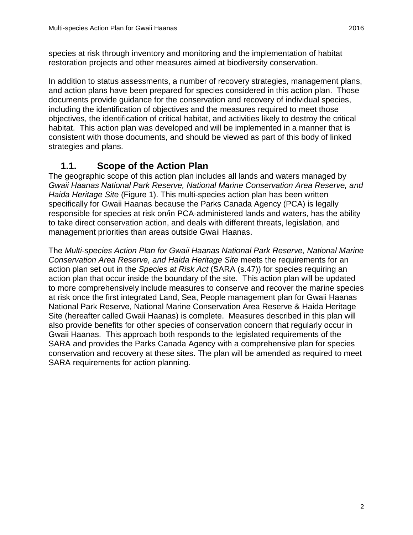species at risk through inventory and monitoring and the implementation of habitat restoration projects and other measures aimed at biodiversity conservation.

In addition to status assessments, a number of recovery strategies, management plans, and action plans have been prepared for species considered in this action plan. Those documents provide guidance for the conservation and recovery of individual species, including the identification of objectives and the measures required to meet those objectives, the identification of critical habitat, and activities likely to destroy the critical habitat. This action plan was developed and will be implemented in a manner that is consistent with those documents, and should be viewed as part of this body of linked strategies and plans.

### **1.1. Scope of the Action Plan**

<span id="page-8-0"></span>The geographic scope of this action plan includes all lands and waters managed by *Gwaii Haanas National Park Reserve, National Marine Conservation Area Reserve, and Haida Heritage Site* (Figure 1). This multi-species action plan has been written specifically for Gwaii Haanas because the Parks Canada Agency (PCA) is legally responsible for species at risk on/in PCA-administered lands and waters, has the ability to take direct conservation action, and deals with different threats, legislation, and management priorities than areas outside Gwaii Haanas.

The *Multi-species Action Plan for Gwaii Haanas National Park Reserve, National Marine Conservation Area Reserve, and Haida Heritage Site* meets the requirements for an action plan set out in the *Species at Risk Act* (SARA (s.47)) for species requiring an action plan that occur inside the boundary of the site. This action plan will be updated to more comprehensively include measures to conserve and recover the marine species at risk once the first integrated Land, Sea, People management plan for Gwaii Haanas National Park Reserve, National Marine Conservation Area Reserve & Haida Heritage Site (hereafter called Gwaii Haanas) is complete. Measures described in this plan will also provide benefits for other species of conservation concern that regularly occur in Gwaii Haanas. This approach both responds to the legislated requirements of the SARA and provides the Parks Canada Agency with a comprehensive plan for species conservation and recovery at these sites. The plan will be amended as required to meet SARA requirements for action planning.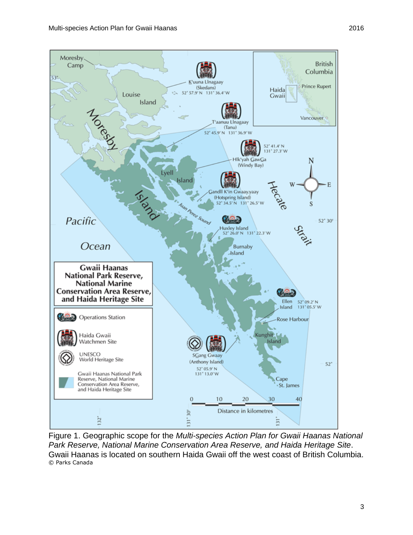

Figure 1. Geographic scope for the *Multi-species Action Plan for Gwaii Haanas National Park Reserve, National Marine Conservation Area Reserve, and Haida Heritage Site*. Gwaii Haanas is located on southern Haida Gwaii off the west coast of British Columbia. © Parks Canada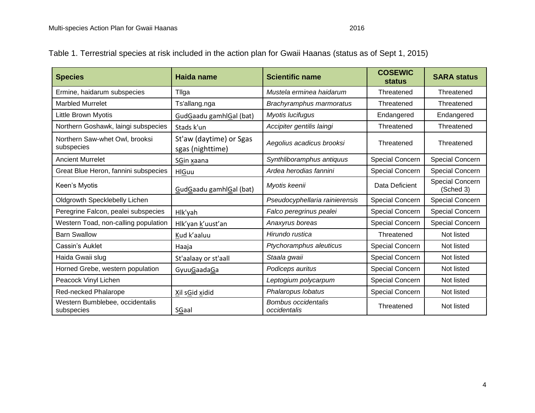| Table 1. Terrestrial species at risk included in the action plan for Gwaii Haanas (status as of Sept 1, 2015) |  |  |
|---------------------------------------------------------------------------------------------------------------|--|--|
|                                                                                                               |  |  |

| <b>Species</b>                                | Haida name                                  | <b>Scientific name</b>                     | <b>COSEWIC</b><br><b>status</b> | <b>SARA status</b>           |
|-----------------------------------------------|---------------------------------------------|--------------------------------------------|---------------------------------|------------------------------|
| Ermine, haidarum subspecies                   | Tilga                                       | Mustela erminea haidarum                   | Threatened                      | Threatened                   |
| <b>Marbled Murrelet</b>                       | Ts'allang.nga                               | Brachyramphus marmoratus                   | Threatened                      | Threatened                   |
| <b>Little Brown Myotis</b>                    | GudGaadu gamhlGal (bat)                     | Myotis lucifugus                           | Endangered                      | Endangered                   |
| Northern Goshawk, laingi subspecies           | Stads k'un                                  | Accipiter gentilis laingi                  | Threatened                      | Threatened                   |
| Northern Saw-whet Owl, brooksi<br>subspecies  | St'aw (daytime) or Sgas<br>sgas (nighttime) | Aegolius acadicus brooksi                  | Threatened                      | Threatened                   |
| <b>Ancient Murrelet</b>                       | SGin xaana                                  | Synthliboramphus antiquus                  | Special Concern                 | Special Concern              |
| Great Blue Heron, fannini subspecies          | <b>HlGuu</b>                                | Ardea herodias fannini                     | Special Concern                 | Special Concern              |
| Keen's Myotis                                 | GudGaadu gamhlGal (bat)                     | Myotis keenii                              | Data Deficient                  | Special Concern<br>(Sched 3) |
| Oldgrowth Specklebelly Lichen                 |                                             | Pseudocyphellaria rainierensis             | Special Concern                 | Special Concern              |
| Peregrine Falcon, pealei subspecies           | Hlk'yah                                     | Falco peregrinus pealei                    | Special Concern                 | Special Concern              |
| Western Toad, non-calling population          | Hlk'yan k'uust'an                           | Anaxyrus boreas                            | <b>Special Concern</b>          | Special Concern              |
| <b>Barn Swallow</b>                           | Kud k'aaluu                                 | Hirundo rustica                            | Threatened                      | Not listed                   |
| Cassin's Auklet                               | Haaja                                       | Ptychoramphus aleuticus                    | Special Concern                 | Not listed                   |
| Haida Gwaii slug                              | St'aalaay or st'aall                        | Staala gwaii                               | Special Concern                 | Not listed                   |
| Horned Grebe, western population              | GyuuGaadaGa                                 | Podiceps auritus                           | Special Concern                 | Not listed                   |
| Peacock Vinyl Lichen                          |                                             | Leptogium polycarpum                       | Special Concern                 | Not listed                   |
| Red-necked Phalarope                          | Xil sGid xidid                              | Phalaropus lobatus                         | Special Concern                 | Not listed                   |
| Western Bumblebee, occidentalis<br>subspecies | SGaal                                       | <b>Bombus occidentalis</b><br>occidentalis | Threatened                      | Not listed                   |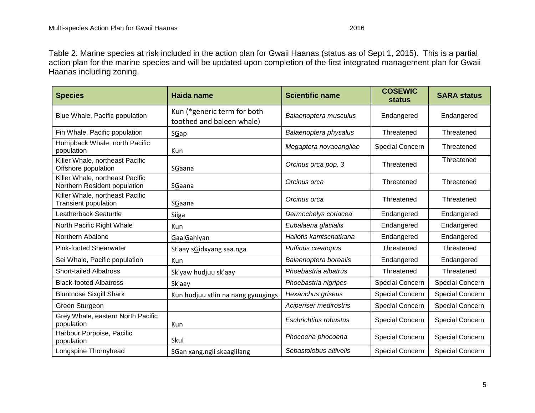Table 2. Marine species at risk included in the action plan for Gwaii Haanas (status as of Sept 1, 2015). This is a partial action plan for the marine species and will be updated upon completion of the first integrated management plan for Gwaii Haanas including zoning.

| <b>Species</b>                                                  | Haida name                                               | <b>Scientific name</b> | <b>COSEWIC</b><br><b>status</b> | <b>SARA status</b> |
|-----------------------------------------------------------------|----------------------------------------------------------|------------------------|---------------------------------|--------------------|
| Blue Whale, Pacific population                                  | Kun (*generic term for both<br>toothed and baleen whale) | Balaenoptera musculus  | Endangered                      | Endangered         |
| Fin Whale, Pacific population                                   | SGap                                                     | Balaenoptera physalus  | Threatened                      | Threatened         |
| Humpback Whale, north Pacific<br>population                     | Kun                                                      | Megaptera novaeangliae | <b>Special Concern</b>          | Threatened         |
| Killer Whale, northeast Pacific<br>Offshore population          | SGaana                                                   | Orcinus orca pop. 3    | Threatened                      | Threatened         |
| Killer Whale, northeast Pacific<br>Northern Resident population | SGaana                                                   | Orcinus orca           | Threatened                      | Threatened         |
| Killer Whale, northeast Pacific<br><b>Transient population</b>  | SGaana                                                   | Orcinus orca           | Threatened                      | Threatened         |
| Leatherback Seaturtle                                           | <b>Siiga</b>                                             | Dermochelys coriacea   | Endangered                      | Endangered         |
| North Pacific Right Whale                                       | Kun                                                      | Eubalaena glacialis    | Endangered                      | Endangered         |
| Northern Abalone                                                | GaalGahlyan                                              | Haliotis kamtschatkana | Endangered                      | Endangered         |
| <b>Pink-footed Shearwater</b>                                   | St'aay sGidxyang saa.nga                                 | Puffinus creatopus     | Threatened                      | Threatened         |
| Sei Whale, Pacific population                                   | Kun                                                      | Balaenoptera borealis  | Endangered                      | Endangered         |
| <b>Short-tailed Albatross</b>                                   | Sk'yaw hudjuu sk'aay                                     | Phoebastria albatrus   | Threatened                      | Threatened         |
| <b>Black-footed Albatross</b>                                   | Sk'aay                                                   | Phoebastria nigripes   | <b>Special Concern</b>          | Special Concern    |
| <b>Bluntnose Sixgill Shark</b>                                  | Kun hudjuu stlin na nang gyuugings                       | Hexanchus griseus      | <b>Special Concern</b>          | Special Concern    |
| Green Sturgeon                                                  |                                                          | Acipenser medirostris  | <b>Special Concern</b>          | Special Concern    |
| Grey Whale, eastern North Pacific<br>population                 | Kun                                                      | Eschrichtius robustus  | <b>Special Concern</b>          | Special Concern    |
| Harbour Porpoise, Pacific<br>population                         | Skul                                                     | Phocoena phocoena      | Special Concern                 | Special Concern    |
| Longspine Thornyhead                                            | SGan xang.ngii skaagiilang                               | Sebastolobus altivelis | <b>Special Concern</b>          | Special Concern    |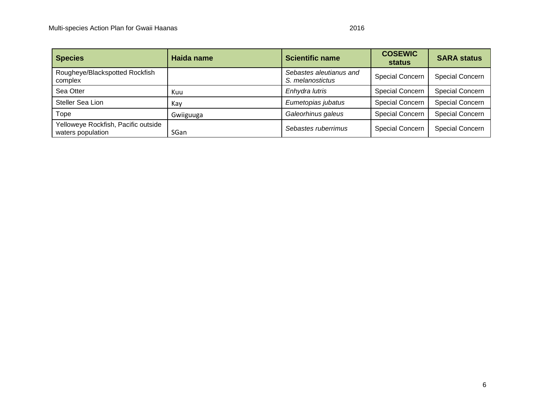| <b>Species</b>                                           | Haida name | <b>Scientific name</b>                      | <b>COSEWIC</b><br>status | <b>SARA status</b>     |
|----------------------------------------------------------|------------|---------------------------------------------|--------------------------|------------------------|
| Rougheye/Blackspotted Rockfish<br>complex                |            | Sebastes aleutianus and<br>S. melanostictus | <b>Special Concern</b>   | <b>Special Concern</b> |
| Sea Otter                                                | Kuu        | Enhydra lutris                              | <b>Special Concern</b>   | <b>Special Concern</b> |
| Steller Sea Lion                                         | Kay        | Eumetopias jubatus                          | <b>Special Concern</b>   | <b>Special Concern</b> |
| Tope                                                     | Gwiiguuga  | Galeorhinus galeus                          | <b>Special Concern</b>   | <b>Special Concern</b> |
| Yelloweye Rockfish, Pacific outside<br>waters population | SGan       | Sebastes ruberrimus                         | <b>Special Concern</b>   | <b>Special Concern</b> |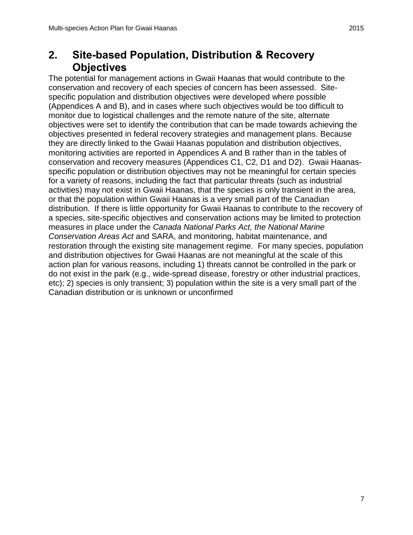## <span id="page-13-0"></span>**2. Site-based Population, Distribution & Recovery Objectives**

The potential for management actions in Gwaii Haanas that would contribute to the conservation and recovery of each species of concern has been assessed. Sitespecific population and distribution objectives were developed where possible (Appendices A and B), and in cases where such objectives would be too difficult to monitor due to logistical challenges and the remote nature of the site, alternate objectives were set to identify the contribution that can be made towards achieving the objectives presented in federal recovery strategies and management plans. Because they are directly linked to the Gwaii Haanas population and distribution objectives, monitoring activities are reported in Appendices A and B rather than in the tables of conservation and recovery measures (Appendices C1, C2, D1 and D2). Gwaii Haanasspecific population or distribution objectives may not be meaningful for certain species for a variety of reasons, including the fact that particular threats (such as industrial activities) may not exist in Gwaii Haanas, that the species is only transient in the area, or that the population within Gwaii Haanas is a very small part of the Canadian distribution. If there is little opportunity for Gwaii Haanas to contribute to the recovery of a species, site-specific objectives and conservation actions may be limited to protection measures in place under the *Canada National Parks Act, the National Marine Conservation Areas Act* and SARA, and monitoring, habitat maintenance, and restoration through the existing site management regime. For many species, population and distribution objectives for Gwaii Haanas are not meaningful at the scale of this action plan for various reasons, including 1) threats cannot be controlled in the park or do not exist in the park (e.g., wide-spread disease, forestry or other industrial practices, etc); 2) species is only transient; 3) population within the site is a very small part of the Canadian distribution or is unknown or unconfirmed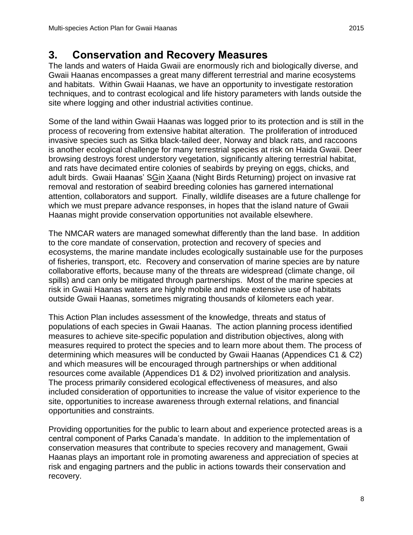## <span id="page-14-0"></span>**3. Conservation and Recovery Measures**

The lands and waters of Haida Gwaii are enormously rich and biologically diverse, and Gwaii Haanas encompasses a great many different terrestrial and marine ecosystems and habitats. Within Gwaii Haanas, we have an opportunity to investigate restoration techniques, and to contrast ecological and life history parameters with lands outside the site where logging and other industrial activities continue.

Some of the land within Gwaii Haanas was logged prior to its protection and is still in the process of recovering from extensive habitat alteration. The proliferation of introduced invasive species such as Sitka black-tailed deer, Norway and black rats, and raccoons is another ecological challenge for many terrestrial species at risk on Haida Gwaii. Deer browsing destroys forest understory vegetation, significantly altering terrestrial habitat, and rats have decimated entire colonies of seabirds by preying on eggs, chicks, and adult birds. Gwaii Haanas' SGin Xaana (Night Birds Returning) project on invasive rat removal and restoration of seabird breeding colonies has garnered international attention, collaborators and support. Finally, wildlife diseases are a future challenge for which we must prepare advance responses, in hopes that the island nature of Gwaii Haanas might provide conservation opportunities not available elsewhere.

The NMCAR waters are managed somewhat differently than the land base. In addition to the core mandate of conservation, protection and recovery of species and ecosystems, the marine mandate includes ecologically sustainable use for the purposes of fisheries, transport, etc. Recovery and conservation of marine species are by nature collaborative efforts, because many of the threats are widespread (climate change, oil spills) and can only be mitigated through partnerships. Most of the marine species at risk in Gwaii Haanas waters are highly mobile and make extensive use of habitats outside Gwaii Haanas, sometimes migrating thousands of kilometers each year.

This Action Plan includes assessment of the knowledge, threats and status of populations of each species in Gwaii Haanas. The action planning process identified measures to achieve site-specific population and distribution objectives, along with measures required to protect the species and to learn more about them. The process of determining which measures will be conducted by Gwaii Haanas (Appendices C1 & C2) and which measures will be encouraged through partnerships or when additional resources come available (Appendices D1 & D2) involved prioritization and analysis. The process primarily considered ecological effectiveness of measures, and also included consideration of opportunities to increase the value of visitor experience to the site, opportunities to increase awareness through external relations, and financial opportunities and constraints.

Providing opportunities for the public to learn about and experience protected areas is a central component of Parks Canada's mandate. In addition to the implementation of conservation measures that contribute to species recovery and management, Gwaii Haanas plays an important role in promoting awareness and appreciation of species at risk and engaging partners and the public in actions towards their conservation and recovery.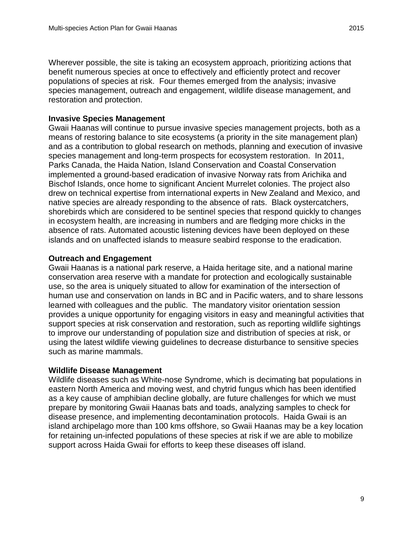Wherever possible, the site is taking an ecosystem approach, prioritizing actions that benefit numerous species at once to effectively and efficiently protect and recover populations of species at risk. Four themes emerged from the analysis; invasive species management, outreach and engagement, wildlife disease management, and restoration and protection.

#### **Invasive Species Management**

Gwaii Haanas will continue to pursue invasive species management projects, both as a means of restoring balance to site ecosystems (a priority in the site management plan) and as a contribution to global research on methods, planning and execution of invasive species management and long-term prospects for ecosystem restoration. In 2011, Parks Canada, the Haida Nation, Island Conservation and Coastal Conservation implemented a ground-based eradication of invasive Norway rats from Arichika and Bischof Islands, once home to significant Ancient Murrelet colonies. The project also drew on technical expertise from international experts in New Zealand and Mexico, and native species are already responding to the absence of rats. Black oystercatchers, shorebirds which are considered to be sentinel species that respond quickly to changes in ecosystem health, are increasing in numbers and are fledging more chicks in the absence of rats. Automated acoustic listening devices have been deployed on these islands and on unaffected islands to measure seabird response to the eradication.

#### **Outreach and Engagement**

Gwaii Haanas is a national park reserve, a Haida heritage site, and a national marine conservation area reserve with a mandate for protection and ecologically sustainable use, so the area is uniquely situated to allow for examination of the intersection of human use and conservation on lands in BC and in Pacific waters, and to share lessons learned with colleagues and the public. The mandatory visitor orientation session provides a unique opportunity for engaging visitors in easy and meaningful activities that support species at risk conservation and restoration, such as reporting wildlife sightings to improve our understanding of population size and distribution of species at risk, or using the latest wildlife viewing guidelines to decrease disturbance to sensitive species such as marine mammals.

#### **Wildlife Disease Management**

Wildlife diseases such as White-nose Syndrome, which is decimating bat populations in eastern North America and moving west, and chytrid fungus which has been identified as a key cause of amphibian decline globally, are future challenges for which we must prepare by monitoring Gwaii Haanas bats and toads, analyzing samples to check for disease presence, and implementing decontamination protocols. Haida Gwaii is an island archipelago more than 100 kms offshore, so Gwaii Haanas may be a key location for retaining un-infected populations of these species at risk if we are able to mobilize support across Haida Gwaii for efforts to keep these diseases off island.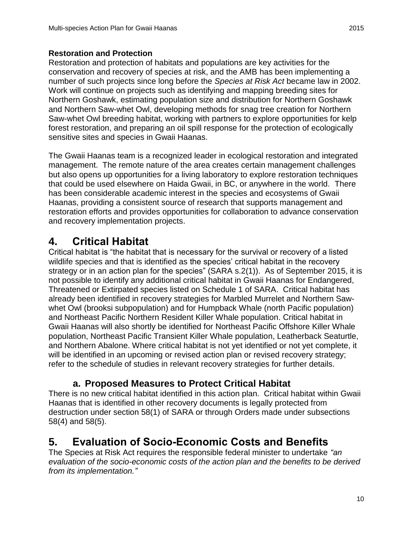#### **Restoration and Protection**

Restoration and protection of habitats and populations are key activities for the conservation and recovery of species at risk, and the AMB has been implementing a number of such projects since long before the *Species at Risk Act* became law in 2002. Work will continue on projects such as identifying and mapping breeding sites for Northern Goshawk, estimating population size and distribution for Northern Goshawk and Northern Saw-whet Owl, developing methods for snag tree creation for Northern Saw-whet Owl breeding habitat, working with partners to explore opportunities for kelp forest restoration, and preparing an oil spill response for the protection of ecologically sensitive sites and species in Gwaii Haanas.

The Gwaii Haanas team is a recognized leader in ecological restoration and integrated management. The remote nature of the area creates certain management challenges but also opens up opportunities for a living laboratory to explore restoration techniques that could be used elsewhere on Haida Gwaii, in BC, or anywhere in the world. There has been considerable academic interest in the species and ecosystems of Gwaii Haanas, providing a consistent source of research that supports management and restoration efforts and provides opportunities for collaboration to advance conservation and recovery implementation projects.

### <span id="page-16-0"></span>**4. Critical Habitat**

Critical habitat is "the habitat that is necessary for the survival or recovery of a listed wildlife species and that is identified as the species' critical habitat in the recovery strategy or in an action plan for the species" (SARA s.2(1)). As of September 2015, it is not possible to identify any additional critical habitat in Gwaii Haanas for Endangered, Threatened or Extirpated species listed on Schedule 1 of SARA. Critical habitat has already been identified in recovery strategies for Marbled Murrelet and Northern Sawwhet Owl (brooksi subpopulation) and for Humpback Whale (north Pacific population) and Northeast Pacific Northern Resident Killer Whale population. Critical habitat in Gwaii Haanas will also shortly be identified for Northeast Pacific Offshore Killer Whale population, Northeast Pacific Transient Killer Whale population, Leatherback Seaturtle, and Northern Abalone. Where critical habitat is not yet identified or not yet complete, it will be identified in an upcoming or revised action plan or revised recovery strategy; refer to the schedule of studies in relevant recovery strategies for further details.

### <span id="page-16-1"></span>**a. Proposed Measures to Protect Critical Habitat**

There is no new critical habitat identified in this action plan. Critical habitat within Gwaii Haanas that is identified in other recovery documents is legally protected from destruction under section 58(1) of SARA or through Orders made under subsections 58(4) and 58(5).

## <span id="page-16-2"></span>**5. Evaluation of Socio-Economic Costs and Benefits**

The Species at Risk Act requires the responsible federal minister to undertake *"an evaluation of the socio-economic costs of the action plan and the benefits to be derived from its implementation."*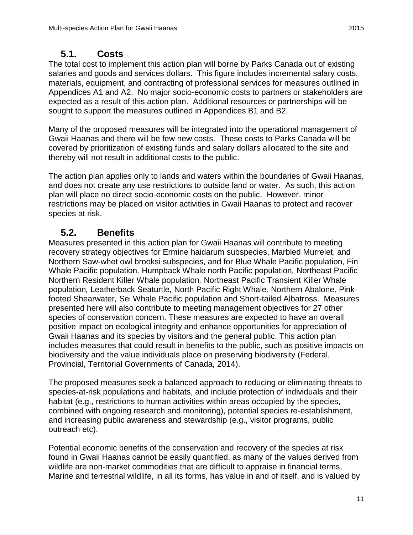### <span id="page-17-0"></span>**5.1. Costs**

The total cost to implement this action plan will borne by Parks Canada out of existing salaries and goods and services dollars. This figure includes incremental salary costs, materials, equipment, and contracting of professional services for measures outlined in Appendices A1 and A2. No major socio-economic costs to partners or stakeholders are expected as a result of this action plan. Additional resources or partnerships will be sought to support the measures outlined in Appendices B1 and B2.

Many of the proposed measures will be integrated into the operational management of Gwaii Haanas and there will be few new costs. These costs to Parks Canada will be covered by prioritization of existing funds and salary dollars allocated to the site and thereby will not result in additional costs to the public.

The action plan applies only to lands and waters within the boundaries of Gwaii Haanas, and does not create any use restrictions to outside land or water. As such, this action plan will place no direct socio-economic costs on the public. However, minor restrictions may be placed on visitor activities in Gwaii Haanas to protect and recover species at risk.

### **5.2. Benefits**

<span id="page-17-1"></span>Measures presented in this action plan for Gwaii Haanas will contribute to meeting recovery strategy objectives for Ermine haidarum subspecies, Marbled Murrelet, and Northern Saw-whet owl brooksi subspecies, and for Blue Whale Pacific population, Fin Whale Pacific population*,* Humpback Whale north Pacific population*,* Northeast Pacific Northern Resident Killer Whale population*,* Northeast Pacific Transient Killer Whale population*,* Leatherback Seaturtle*,* North Pacific Right Whale*,* Northern Abalone*,* Pinkfooted Shearwater*,* Sei Whale Pacific population and Short-tailed Albatross. Measures presented here will also contribute to meeting management objectives for 27 other species of conservation concern. These measures are expected to have an overall positive impact on ecological integrity and enhance opportunities for appreciation of Gwaii Haanas and its species by visitors and the general public. This action plan includes measures that could result in benefits to the public, such as positive impacts on biodiversity and the value individuals place on preserving biodiversity (Federal, Provincial, Territorial Governments of Canada, 2014).

The proposed measures seek a balanced approach to reducing or eliminating threats to species-at-risk populations and habitats, and include protection of individuals and their habitat (e.g., restrictions to human activities within areas occupied by the species, combined with ongoing research and monitoring), potential species re-establishment, and increasing public awareness and stewardship (e.g., visitor programs, public outreach etc).

Potential economic benefits of the conservation and recovery of the species at risk found in Gwaii Haanas cannot be easily quantified, as many of the values derived from wildlife are non-market commodities that are difficult to appraise in financial terms. Marine and terrestrial wildlife, in all its forms, has value in and of itself, and is valued by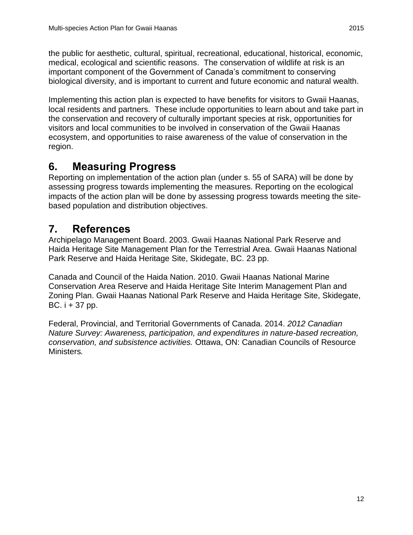the public for aesthetic, cultural, spiritual, recreational, educational, historical, economic, medical, ecological and scientific reasons. The conservation of wildlife at risk is an important component of the Government of Canada's commitment to conserving biological diversity, and is important to current and future economic and natural wealth.

Implementing this action plan is expected to have benefits for visitors to Gwaii Haanas, local residents and partners. These include opportunities to learn about and take part in the conservation and recovery of culturally important species at risk, opportunities for visitors and local communities to be involved in conservation of the Gwaii Haanas ecosystem, and opportunities to raise awareness of the value of conservation in the region.

## <span id="page-18-0"></span>**6. Measuring Progress**

Reporting on implementation of the action plan (under s. 55 of SARA) will be done by assessing progress towards implementing the measures. Reporting on the ecological impacts of the action plan will be done by assessing progress towards meeting the sitebased population and distribution objectives.

## <span id="page-18-1"></span>**7. References**

Archipelago Management Board. 2003. Gwaii Haanas National Park Reserve and Haida Heritage Site Management Plan for the Terrestrial Area. Gwaii Haanas National Park Reserve and Haida Heritage Site, Skidegate, BC. 23 pp.

Canada and Council of the Haida Nation. 2010. Gwaii Haanas National Marine Conservation Area Reserve and Haida Heritage Site Interim Management Plan and Zoning Plan. Gwaii Haanas National Park Reserve and Haida Heritage Site, Skidegate, BC. i + 37 pp.

Federal, Provincial, and Territorial Governments of Canada. 2014. *2012 Canadian Nature Survey: Awareness, participation, and expenditures in nature-based recreation, conservation, and subsistence activities.* Ottawa, ON: Canadian Councils of Resource Ministers*.*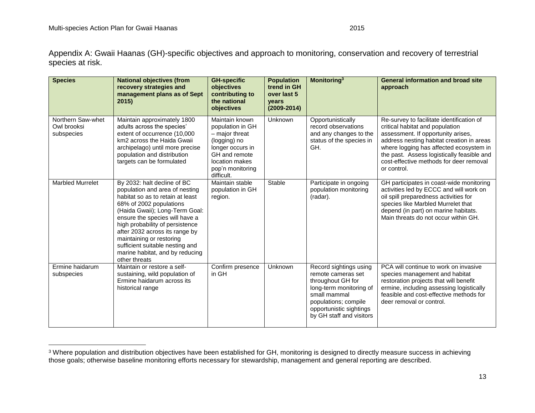Appendix A: Gwaii Haanas (GH)-specific objectives and approach to monitoring, conservation and recovery of terrestrial species at risk.

<span id="page-19-0"></span>

| <b>Species</b>                                 | <b>National objectives (from</b><br>recovery strategies and<br>management plans as of Sept<br>2015)                                                                                                                                                                                                                                                                                      | <b>GH-specific</b><br>objectives<br>contributing to<br>the national<br>objectives                                                                             | <b>Population</b><br>trend in GH<br>over last 5<br>vears<br>$(2009 - 2014)$ | <b>Monitoring</b> <sup>3</sup>                                                                                                                                                              | <b>General information and broad site</b><br>approach                                                                                                                                                                                                                                                              |
|------------------------------------------------|------------------------------------------------------------------------------------------------------------------------------------------------------------------------------------------------------------------------------------------------------------------------------------------------------------------------------------------------------------------------------------------|---------------------------------------------------------------------------------------------------------------------------------------------------------------|-----------------------------------------------------------------------------|---------------------------------------------------------------------------------------------------------------------------------------------------------------------------------------------|--------------------------------------------------------------------------------------------------------------------------------------------------------------------------------------------------------------------------------------------------------------------------------------------------------------------|
| Northern Saw-whet<br>Owl brooksi<br>subspecies | Maintain approximately 1800<br>adults across the species'<br>extent of occurrence (10,000<br>km2 across the Haida Gwaii<br>archipelago) until more precise<br>population and distribution<br>targets can be formulated                                                                                                                                                                   | Maintain known<br>population in GH<br>- major threat<br>(logging) no<br>longer occurs in<br>GH and remote<br>location makes<br>pop'n monitoring<br>difficult. | Unknown                                                                     | Opportunistically<br>record observations<br>and any changes to the<br>status of the species in<br>GH.                                                                                       | Re-survey to facilitate identification of<br>critical habitat and population<br>assessment. If opportunity arises,<br>address nesting habitat creation in areas<br>where logging has affected ecosystem in<br>the past. Assess logistically feasible and<br>cost-effective methods for deer removal<br>or control. |
| <b>Marbled Murrelet</b>                        | By 2032: halt decline of BC<br>population and area of nesting<br>habitat so as to retain at least<br>68% of 2002 populations<br>(Haida Gwaii); Long-Term Goal:<br>ensure the species will have a<br>high probability of persistence<br>after 2032 across its range by<br>maintaining or restoring<br>sufficient suitable nesting and<br>marine habitat, and by reducing<br>other threats | Maintain stable<br>population in GH<br>region.                                                                                                                | <b>Stable</b>                                                               | Participate in ongoing<br>population monitoring<br>(radar).                                                                                                                                 | GH participates in coast-wide monitoring<br>activities led by ECCC and will work on<br>oil spill preparedness activities for<br>species like Marbled Murrelet that<br>depend (in part) on marine habitats.<br>Main threats do not occur within GH.                                                                 |
| Ermine haidarum<br>subspecies                  | Maintain or restore a self-<br>sustaining, wild population of<br>Ermine haidarum across its<br>historical range                                                                                                                                                                                                                                                                          | Confirm presence<br>in GH                                                                                                                                     | Unknown                                                                     | Record sightings using<br>remote cameras set<br>throughout GH for<br>long-term monitoring of<br>small mammal<br>populations; compile<br>opportunistic sightings<br>by GH staff and visitors | PCA will continue to work on invasive<br>species management and habitat<br>restoration projects that will benefit<br>ermine, including assessing logistically<br>feasible and cost-effective methods for<br>deer removal or control.                                                                               |

 $3$  Where population and distribution objectives have been established for GH, monitoring is designed to directly measure success in achieving those goals; otherwise baseline monitoring efforts necessary for stewardship, management and general reporting are described.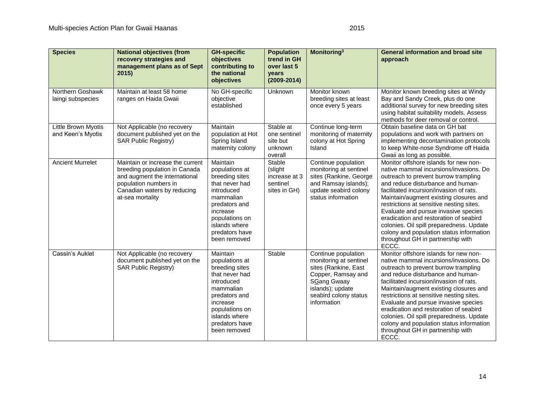| <b>Species</b>                           | <b>National objectives (from</b><br>recovery strategies and<br>management plans as of Sept<br>2015                                                                             | <b>GH-specific</b><br>objectives<br>contributing to<br>the national<br>objectives                                                                                                           | <b>Population</b><br>trend in GH<br>over last 5<br>years<br>$(2009 - 2014)$ | <b>Monitoring</b> <sup>3</sup>                                                                                                                                                | <b>General information and broad site</b><br>approach                                                                                                                                                                                                                                                                                                                                                                                                                                                                 |
|------------------------------------------|--------------------------------------------------------------------------------------------------------------------------------------------------------------------------------|---------------------------------------------------------------------------------------------------------------------------------------------------------------------------------------------|-----------------------------------------------------------------------------|-------------------------------------------------------------------------------------------------------------------------------------------------------------------------------|-----------------------------------------------------------------------------------------------------------------------------------------------------------------------------------------------------------------------------------------------------------------------------------------------------------------------------------------------------------------------------------------------------------------------------------------------------------------------------------------------------------------------|
| Northern Goshawk<br>laingi subspecies    | Maintain at least 58 home<br>ranges on Haida Gwaii                                                                                                                             | No GH-specific<br>objective<br>established                                                                                                                                                  | Unknown                                                                     | Monitor known<br>breeding sites at least<br>once every 5 years                                                                                                                | Monitor known breeding sites at Windy<br>Bay and Sandy Creek, plus do one<br>additional survey for new breeding sites<br>using habitat suitability models. Assess<br>methods for deer removal or control.                                                                                                                                                                                                                                                                                                             |
| Little Brown Myotis<br>and Keen's Myotis | Not Applicable (no recovery<br>document published yet on the<br><b>SAR Public Registry)</b>                                                                                    | Maintain<br>population at Hot<br>Spring Island<br>maternity colony                                                                                                                          | Stable at<br>one sentinel<br>site but<br>unknown<br>overall                 | Continue long-term<br>monitoring of maternity<br>colony at Hot Spring<br>Island                                                                                               | Obtain baseline data on GH bat<br>populations and work with partners on<br>implementing decontamination protocols<br>to keep White-nose Syndrome off Haida<br>Gwaii as long as possible.                                                                                                                                                                                                                                                                                                                              |
| <b>Ancient Murrelet</b>                  | Maintain or increase the current<br>breeding population in Canada<br>and augment the international<br>population numbers in<br>Canadian waters by reducing<br>at-sea mortality | Maintain<br>populations at<br>breeding sites<br>that never had<br>introduced<br>mammalian<br>predators and<br>increase<br>populations on<br>islands where<br>predators have<br>been removed | Stable<br>(slight<br>increase at 3<br>sentinel<br>sites in GH)              | Continue population<br>monitoring at sentinel<br>sites (Rankine, George<br>and Ramsay islands);<br>update seabird colony<br>status information                                | Monitor offshore islands for new non-<br>native mammal incursions/invasions. Do<br>outreach to prevent burrow trampling<br>and reduce disturbance and human-<br>facilitated incursion/invasion of rats.<br>Maintain/augment existing closures and<br>restrictions at sensitive nesting sites.<br>Evaluate and pursue invasive species<br>eradication and restoration of seabird<br>colonies. Oil spill preparedness. Update<br>colony and population status information<br>throughout GH in partnership with<br>ECCC. |
| Cassin's Auklet                          | Not Applicable (no recovery<br>document published yet on the<br><b>SAR Public Registry)</b>                                                                                    | Maintain<br>populations at<br>breeding sites<br>that never had<br>introduced<br>mammalian<br>predators and<br>increase<br>populations on<br>islands where<br>predators have<br>been removed | Stable                                                                      | Continue population<br>monitoring at sentinel<br>sites (Rankine, East<br>Copper, Ramsay and<br><b>SGang Gwaay</b><br>islands); update<br>seabird colony status<br>information | Monitor offshore islands for new non-<br>native mammal incursions/invasions. Do<br>outreach to prevent burrow trampling<br>and reduce disturbance and human-<br>facilitated incursion/invasion of rats.<br>Maintain/augment existing closures and<br>restrictions at sensitive nesting sites.<br>Evaluate and pursue invasive species<br>eradication and restoration of seabird<br>colonies. Oil spill preparedness. Update<br>colony and population status information<br>throughout GH in partnership with<br>ECCC. |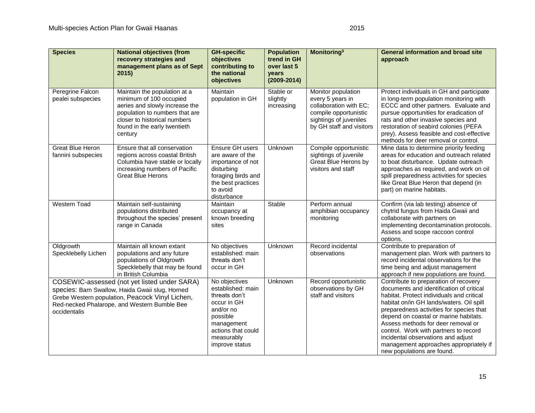| <b>Species</b>                                | <b>National objectives (from</b><br>recovery strategies and<br>management plans as of Sept<br>2015)                                                                                                    | <b>GH-specific</b><br>objectives<br>contributing to<br>the national<br>objectives                                                                               | <b>Population</b><br>trend in GH<br>over last 5<br>years<br>$(2009 - 2014)$ | <b>Monitoring</b> <sup>3</sup>                                                                                                                  | <b>General information and broad site</b><br>approach                                                                                                                                                                                                                                                                                                                                                                                                        |
|-----------------------------------------------|--------------------------------------------------------------------------------------------------------------------------------------------------------------------------------------------------------|-----------------------------------------------------------------------------------------------------------------------------------------------------------------|-----------------------------------------------------------------------------|-------------------------------------------------------------------------------------------------------------------------------------------------|--------------------------------------------------------------------------------------------------------------------------------------------------------------------------------------------------------------------------------------------------------------------------------------------------------------------------------------------------------------------------------------------------------------------------------------------------------------|
| Peregrine Falcon<br>pealei subspecies         | Maintain the population at a<br>minimum of 100 occupied<br>aeries and slowly increase the<br>population to numbers that are<br>closer to historical numbers<br>found in the early twentieth<br>century | Maintain<br>population in GH                                                                                                                                    | Stable or<br>slightly<br>increasing                                         | Monitor population<br>every 5 years in<br>collaboration with EC;<br>compile opportunistic<br>sightings of juveniles<br>by GH staff and visitors | Protect individuals in GH and participate<br>in long-term population monitoring with<br>ECCC and other partners. Evaluate and<br>pursue opportunities for eradication of<br>rats and other invasive species and<br>restoration of seabird colonies (PEFA<br>prey). Assess feasible and cost-effective<br>methods for deer removal or control.                                                                                                                |
| <b>Great Blue Heron</b><br>fannini subspecies | Ensure that all conservation<br>regions across coastal British<br>Columbia have stable or locally<br>increasing numbers of Pacific<br><b>Great Blue Herons</b>                                         | Ensure GH users<br>are aware of the<br>importance of not<br>disturbing<br>foraging birds and<br>the best practices<br>to avoid<br>disturbance                   | Unknown                                                                     | Compile opportunistic<br>sightings of juvenile<br>Great Blue Herons by<br>visitors and staff                                                    | Mine data to determine priority feeding<br>areas for education and outreach related<br>to boat disturbance. Update outreach<br>approaches as required, and work on oil<br>spill preparedness activities for species<br>like Great Blue Heron that depend (in<br>part) on marine habitats.                                                                                                                                                                    |
| <b>Western Toad</b>                           | Maintain self-sustaining<br>populations distributed<br>throughout the species' present<br>range in Canada                                                                                              | Maintain<br>occupancy at<br>known breeding<br>sites                                                                                                             | <b>Stable</b>                                                               | Perform annual<br>amphibian occupancy<br>monitoring                                                                                             | Confirm (via lab testing) absence of<br>chytrid fungus from Haida Gwaii and<br>collaborate with partners on<br>implementing decontamination protocols.<br>Assess and scope raccoon control<br>options.                                                                                                                                                                                                                                                       |
| Oldgrowth<br>Specklebelly Lichen              | Maintain all known extant<br>populations and any future<br>populations of Oldgrowth<br>Specklebelly that may be found<br>in British Columbia                                                           | No objectives<br>established: main<br>threats don't<br>occur in GH                                                                                              | Unknown                                                                     | Record incidental<br>observations                                                                                                               | Contribute to preparation of<br>management plan. Work with partners to<br>record incidental observations for the<br>time being and adjust management<br>approach if new populations are found.                                                                                                                                                                                                                                                               |
| occidentalis                                  | COSEWIC-assessed (not yet listed under SARA)<br>species: Barn Swallow, Haida Gwaii slug, Horned<br>Grebe Western population, Peacock Vinyl Lichen,<br>Red-necked Phalarope, and Western Bumble Bee     | No objectives<br>established: main<br>threats don't<br>occur in GH<br>and/or no<br>possible<br>management<br>actions that could<br>measurably<br>improve status | Unknown                                                                     | Record opportunistic<br>observations by GH<br>staff and visitors                                                                                | Contribute to preparation of recovery<br>documents and identification of critical<br>habitat. Protect individuals and critical<br>habitat on/in GH lands/waters. Oil spill<br>preparedness activities for species that<br>depend on coastal or marine habitats.<br>Assess methods for deer removal or<br>control. Work with partners to record<br>incidental observations and adjust<br>management approaches appropriately if<br>new populations are found. |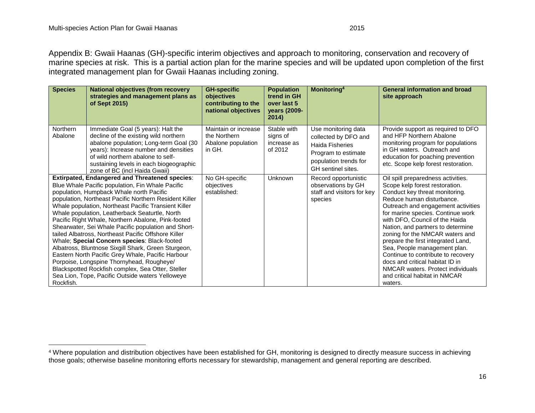Appendix B: Gwaii Haanas (GH)-specific interim objectives and approach to monitoring, conservation and recovery of marine species at risk. This is a partial action plan for the marine species and will be updated upon completion of the first integrated management plan for Gwaii Haanas including zoning.

<span id="page-22-0"></span>

| <b>Species</b>      | <b>National objectives (from recovery</b><br>strategies and management plans as<br>of Sept 2015)                                                                                                                                                                                                                                                                                                                                                                                                                                                                                                                                                                                                                                                                                                                | <b>GH-specific</b><br>objectives<br>contributing to the<br>national objectives | <b>Population</b><br>trend in GH<br>over last 5<br>years (2009-<br>2014) | Monitoring <sup>4</sup>                                                                                                                     | <b>General information and broad</b><br>site approach                                                                                                                                                                                                                                                                                                                                                                                                                                                                                                    |
|---------------------|-----------------------------------------------------------------------------------------------------------------------------------------------------------------------------------------------------------------------------------------------------------------------------------------------------------------------------------------------------------------------------------------------------------------------------------------------------------------------------------------------------------------------------------------------------------------------------------------------------------------------------------------------------------------------------------------------------------------------------------------------------------------------------------------------------------------|--------------------------------------------------------------------------------|--------------------------------------------------------------------------|---------------------------------------------------------------------------------------------------------------------------------------------|----------------------------------------------------------------------------------------------------------------------------------------------------------------------------------------------------------------------------------------------------------------------------------------------------------------------------------------------------------------------------------------------------------------------------------------------------------------------------------------------------------------------------------------------------------|
| Northern<br>Abalone | Immediate Goal (5 years): Halt the<br>decline of the existing wild northern<br>abalone population; Long-term Goal (30<br>years): Increase number and densities<br>of wild northern abalone to self-<br>sustaining levels in each biogeographic<br>zone of BC (incl Haida Gwaii)                                                                                                                                                                                                                                                                                                                                                                                                                                                                                                                                 | Maintain or increase<br>the Northern<br>Abalone population<br>in GH.           | Stable with<br>signs of<br>increase as<br>of 2012                        | Use monitoring data<br>collected by DFO and<br><b>Haida Fisheries</b><br>Program to estimate<br>population trends for<br>GH sentinel sites. | Provide support as required to DFO<br>and HFP Northern Abalone<br>monitoring program for populations<br>in GH waters. Outreach and<br>education for poaching prevention<br>etc. Scope kelp forest restoration.                                                                                                                                                                                                                                                                                                                                           |
| Rockfish.           | <b>Extirpated, Endangered and Threatened species:</b><br>Blue Whale Pacific population, Fin Whale Pacific<br>population, Humpback Whale north Pacific<br>population, Northeast Pacific Northern Resident Killer<br>Whale population, Northeast Pacific Transient Killer<br>Whale population, Leatherback Seaturtle, North<br>Pacific Right Whale, Northern Abalone, Pink-footed<br>Shearwater, Sei Whale Pacific population and Short-<br>tailed Albatross, Northeast Pacific Offshore Killer<br>Whale; Special Concern species: Black-footed<br>Albatross, Bluntnose Sixgill Shark, Green Sturgeon,<br>Eastern North Pacific Grey Whale, Pacific Harbour<br>Porpoise, Longspine Thornyhead, Rougheye/<br>Blackspotted Rockfish complex, Sea Otter, Steller<br>Sea Lion, Tope, Pacific Outside waters Yelloweye | No GH-specific<br>objectives<br>established:                                   | <b>Unknown</b>                                                           | Record opportunistic<br>observations by GH<br>staff and visitors for key<br>species                                                         | Oil spill preparedness activities.<br>Scope kelp forest restoration.<br>Conduct key threat monitoring.<br>Reduce human disturbance.<br>Outreach and engagement activities<br>for marine species. Continue work<br>with DFO, Council of the Haida<br>Nation, and partners to determine<br>zoning for the NMCAR waters and<br>prepare the first integrated Land,<br>Sea, People management plan.<br>Continue to contribute to recovery<br>docs and critical habitat ID in<br>NMCAR waters. Protect individuals<br>and critical habitat in NMCAR<br>waters. |

<sup>4</sup> Where population and distribution objectives have been established for GH, monitoring is designed to directly measure success in achieving those goals; otherwise baseline monitoring efforts necessary for stewardship, management and general reporting are described.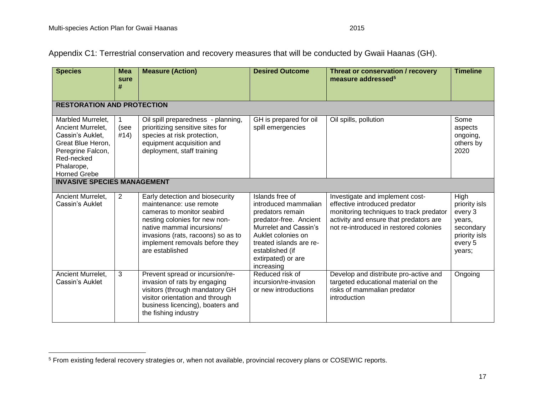Appendix C1: Terrestrial conservation and recovery measures that will be conducted by Gwaii Haanas (GH).

<span id="page-23-0"></span>

| <b>Species</b>                                                                                                                                          | <b>Mea</b><br>sure<br># | <b>Measure (Action)</b>                                                                                                                                                                                                                           | <b>Desired Outcome</b>                                                                                                                                                                                                 | Threat or conservation / recovery<br>measure addressed <sup>5</sup>                                                                                                                             | <b>Timeline</b>                                                                               |  |  |  |
|---------------------------------------------------------------------------------------------------------------------------------------------------------|-------------------------|---------------------------------------------------------------------------------------------------------------------------------------------------------------------------------------------------------------------------------------------------|------------------------------------------------------------------------------------------------------------------------------------------------------------------------------------------------------------------------|-------------------------------------------------------------------------------------------------------------------------------------------------------------------------------------------------|-----------------------------------------------------------------------------------------------|--|--|--|
| <b>RESTORATION AND PROTECTION</b>                                                                                                                       |                         |                                                                                                                                                                                                                                                   |                                                                                                                                                                                                                        |                                                                                                                                                                                                 |                                                                                               |  |  |  |
| Marbled Murrelet,<br>Ancient Murrelet.<br>Cassin's Auklet,<br>Great Blue Heron,<br>Peregrine Falcon,<br>Red-necked<br>Phalarope,<br><b>Horned Grebe</b> | (see<br>#14)            | Oil spill preparedness - planning,<br>prioritizing sensitive sites for<br>species at risk protection,<br>equipment acquisition and<br>deployment, staff training                                                                                  | GH is prepared for oil<br>spill emergencies                                                                                                                                                                            | Oil spills, pollution                                                                                                                                                                           | Some<br>aspects<br>ongoing,<br>others by<br>2020                                              |  |  |  |
| <b>INVASIVE SPECIES MANAGEMENT</b>                                                                                                                      |                         |                                                                                                                                                                                                                                                   |                                                                                                                                                                                                                        |                                                                                                                                                                                                 |                                                                                               |  |  |  |
| Ancient Murrelet,<br>Cassin's Auklet                                                                                                                    | $\overline{2}$          | Early detection and biosecurity<br>maintenance: use remote<br>cameras to monitor seabird<br>nesting colonies for new non-<br>native mammal incursions/<br>invasions (rats, racoons) so as to<br>implement removals before they<br>are established | Islands free of<br>introduced mammalian<br>predators remain<br>predator-free. Ancient<br>Murrelet and Cassin's<br>Auklet colonies on<br>treated islands are re-<br>established (if<br>extirpated) or are<br>increasing | Investigate and implement cost-<br>effective introduced predator<br>monitoring techniques to track predator<br>activity and ensure that predators are<br>not re-introduced in restored colonies | High<br>priority isls<br>every 3<br>years,<br>secondary<br>priority isls<br>every 5<br>years; |  |  |  |
| Ancient Murrelet,<br>Cassin's Auklet                                                                                                                    | 3                       | Prevent spread or incursion/re-<br>invasion of rats by engaging<br>visitors (through mandatory GH<br>visitor orientation and through<br>business licencing), boaters and<br>the fishing industry                                                  | Reduced risk of<br>incursion/re-invasion<br>or new introductions                                                                                                                                                       | Develop and distribute pro-active and<br>targeted educational material on the<br>risks of mammalian predator<br>introduction                                                                    | Ongoing                                                                                       |  |  |  |

<sup>&</sup>lt;sup>5</sup> From existing federal recovery strategies or, when not available, provincial recovery plans or COSEWIC reports.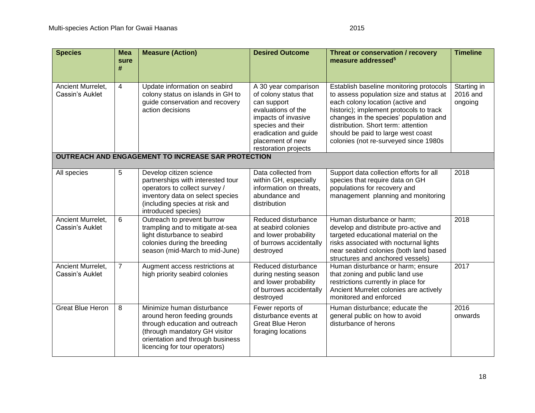| <b>Species</b>                       | <b>Mea</b><br>sure<br># | <b>Measure (Action)</b>                                                                                                                                                                            | <b>Desired Outcome</b>                                                                                                                                                                              | Threat or conservation / recovery<br>measure addressed <sup>5</sup>                                                                                                                                                                                                                                                               | <b>Timeline</b>                    |
|--------------------------------------|-------------------------|----------------------------------------------------------------------------------------------------------------------------------------------------------------------------------------------------|-----------------------------------------------------------------------------------------------------------------------------------------------------------------------------------------------------|-----------------------------------------------------------------------------------------------------------------------------------------------------------------------------------------------------------------------------------------------------------------------------------------------------------------------------------|------------------------------------|
| Ancient Murrelet,<br>Cassin's Auklet | 4                       | Update information on seabird<br>colony status on islands in GH to<br>guide conservation and recovery<br>action decisions                                                                          | A 30 year comparison<br>of colony status that<br>can support<br>evaluations of the<br>impacts of invasive<br>species and their<br>eradication and guide<br>placement of new<br>restoration projects | Establish baseline monitoring protocols<br>to assess population size and status at<br>each colony location (active and<br>historic); implement protocols to track<br>changes in the species' population and<br>distribution. Short term: attention<br>should be paid to large west coast<br>colonies (not re-surveyed since 1980s | Starting in<br>2016 and<br>ongoing |
|                                      |                         | <b>OUTREACH AND ENGAGEMENT TO INCREASE SAR PROTECTION</b>                                                                                                                                          |                                                                                                                                                                                                     |                                                                                                                                                                                                                                                                                                                                   |                                    |
| All species                          | 5                       | Develop citizen science<br>partnerships with interested tour<br>operators to collect survey /<br>inventory data on select species<br>(including species at risk and<br>introduced species)         | Data collected from<br>within GH, especially<br>information on threats,<br>abundance and<br>distribution                                                                                            | Support data collection efforts for all<br>species that require data on GH<br>populations for recovery and<br>management planning and monitoring                                                                                                                                                                                  | 2018                               |
| Ancient Murrelet,<br>Cassin's Auklet | 6                       | Outreach to prevent burrow<br>trampling and to mitigate at-sea<br>light disturbance to seabird<br>colonies during the breeding<br>season (mid-March to mid-June)                                   | Reduced disturbance<br>at seabird colonies<br>and lower probability<br>of burrows accidentally<br>destroyed                                                                                         | Human disturbance or harm;<br>develop and distribute pro-active and<br>targeted educational material on the<br>risks associated with nocturnal lights<br>near seabird colonies (both land based<br>structures and anchored vessels)                                                                                               | 2018                               |
| Ancient Murrelet,<br>Cassin's Auklet | $\overline{7}$          | Augment access restrictions at<br>high priority seabird colonies                                                                                                                                   | Reduced disturbance<br>during nesting season<br>and lower probability<br>of burrows accidentally<br>destroyed                                                                                       | Human disturbance or harm; ensure<br>that zoning and public land use<br>restrictions currently in place for<br>Ancient Murrelet colonies are actively<br>monitored and enforced                                                                                                                                                   | 2017                               |
| <b>Great Blue Heron</b>              | 8                       | Minimize human disturbance<br>around heron feeding grounds<br>through education and outreach<br>(through mandatory GH visitor<br>orientation and through business<br>licencing for tour operators) | Fewer reports of<br>disturbance events at<br><b>Great Blue Heron</b><br>foraging locations                                                                                                          | Human disturbance; educate the<br>general public on how to avoid<br>disturbance of herons                                                                                                                                                                                                                                         | 2016<br>onwards                    |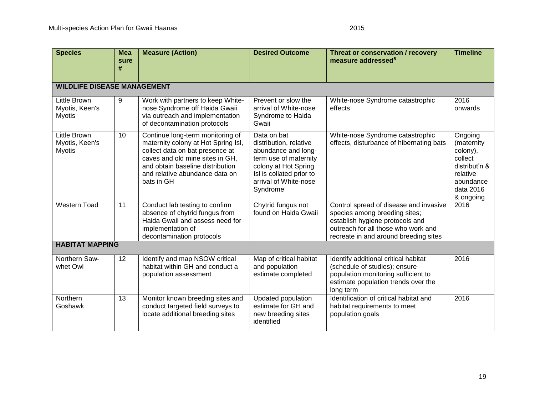| <b>Species</b>                                         | <b>Mea</b><br>sure<br># | <b>Measure (Action)</b>                                                                                                                                                                                                           | <b>Desired Outcome</b>                                                                                                                                                         | Threat or conservation / recovery<br>measure addressed <sup>5</sup>                                                                                                                        | <b>Timeline</b>                                                                                                  |
|--------------------------------------------------------|-------------------------|-----------------------------------------------------------------------------------------------------------------------------------------------------------------------------------------------------------------------------------|--------------------------------------------------------------------------------------------------------------------------------------------------------------------------------|--------------------------------------------------------------------------------------------------------------------------------------------------------------------------------------------|------------------------------------------------------------------------------------------------------------------|
| <b>WILDLIFE DISEASE MANAGEMENT</b>                     |                         |                                                                                                                                                                                                                                   |                                                                                                                                                                                |                                                                                                                                                                                            |                                                                                                                  |
| <b>Little Brown</b><br>Myotis, Keen's<br><b>Myotis</b> | 9                       | Work with partners to keep White-<br>nose Syndrome off Haida Gwaii<br>via outreach and implementation<br>of decontamination protocols                                                                                             | Prevent or slow the<br>arrival of White-nose<br>Syndrome to Haida<br>Gwaii                                                                                                     | White-nose Syndrome catastrophic<br>effects                                                                                                                                                | 2016<br>onwards                                                                                                  |
| <b>Little Brown</b><br>Myotis, Keen's<br><b>Myotis</b> | 10                      | Continue long-term monitoring of<br>maternity colony at Hot Spring Isl,<br>collect data on bat presence at<br>caves and old mine sites in GH,<br>and obtain baseline distribution<br>and relative abundance data on<br>bats in GH | Data on bat<br>distribution, relative<br>abundance and long-<br>term use of maternity<br>colony at Hot Spring<br>Isl is collated prior to<br>arrival of White-nose<br>Syndrome | White-nose Syndrome catastrophic<br>effects, disturbance of hibernating bats                                                                                                               | Ongoing<br>(maternity<br>colony),<br>collect<br>distribut'n &<br>relative<br>abundance<br>data 2016<br>& ongoing |
| <b>Western Toad</b>                                    | 11                      | Conduct lab testing to confirm<br>absence of chytrid fungus from<br>Haida Gwaii and assess need for<br>implementation of<br>decontamination protocols                                                                             | Chytrid fungus not<br>found on Haida Gwaii                                                                                                                                     | Control spread of disease and invasive<br>species among breeding sites;<br>establish hygiene protocols and<br>outreach for all those who work and<br>recreate in and around breeding sites | 2016                                                                                                             |
| <b>HABITAT MAPPING</b>                                 |                         |                                                                                                                                                                                                                                   |                                                                                                                                                                                |                                                                                                                                                                                            |                                                                                                                  |
| Northern Saw-<br>whet Owl                              | 12                      | Identify and map NSOW critical<br>habitat within GH and conduct a<br>population assessment                                                                                                                                        | Map of critical habitat<br>and population<br>estimate completed                                                                                                                | Identify additional critical habitat<br>(schedule of studies); ensure<br>population monitoring sufficient to<br>estimate population trends over the<br>long term                           | 2016                                                                                                             |
| Northern<br>Goshawk                                    | 13                      | Monitor known breeding sites and<br>conduct targeted field surveys to<br>locate additional breeding sites                                                                                                                         | Updated population<br>estimate for GH and<br>new breeding sites<br>identified                                                                                                  | Identification of critical habitat and<br>habitat requirements to meet<br>population goals                                                                                                 | 2016                                                                                                             |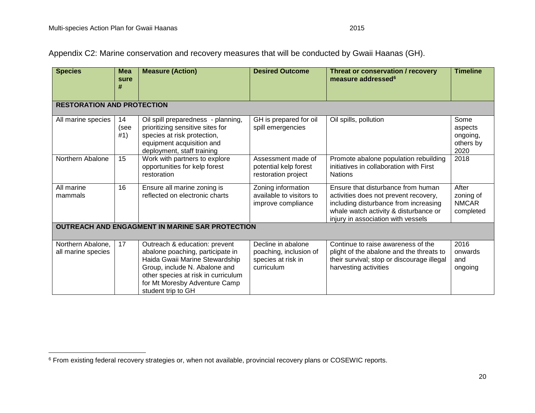Appendix C2: Marine conservation and recovery measures that will be conducted by Gwaii Haanas (GH).

| <b>Species</b>                                  | <b>Mea</b><br>sure<br>#           | <b>Measure (Action)</b>                                                                                                                                                                                                            | <b>Desired Outcome</b>                                                           | Threat or conservation / recovery<br>measure addressed <sup>6</sup>                                                                                                                                 | <b>Timeline</b>                                  |  |
|-------------------------------------------------|-----------------------------------|------------------------------------------------------------------------------------------------------------------------------------------------------------------------------------------------------------------------------------|----------------------------------------------------------------------------------|-----------------------------------------------------------------------------------------------------------------------------------------------------------------------------------------------------|--------------------------------------------------|--|
|                                                 | <b>RESTORATION AND PROTECTION</b> |                                                                                                                                                                                                                                    |                                                                                  |                                                                                                                                                                                                     |                                                  |  |
| All marine species                              | 14<br>(see<br>#1)                 | Oil spill preparedness - planning,<br>prioritizing sensitive sites for<br>species at risk protection,<br>equipment acquisition and<br>deployment, staff training                                                                   | GH is prepared for oil<br>spill emergencies                                      | Oil spills, pollution                                                                                                                                                                               | Some<br>aspects<br>ongoing,<br>others by<br>2020 |  |
| Northern Abalone                                | 15                                | Work with partners to explore<br>opportunities for kelp forest<br>restoration                                                                                                                                                      | Assessment made of<br>potential kelp forest<br>restoration project               | Promote abalone population rebuilding<br>initiatives in collaboration with First<br><b>Nations</b>                                                                                                  | 2018                                             |  |
| All marine<br>mammals                           | 16                                | Ensure all marine zoning is<br>reflected on electronic charts                                                                                                                                                                      | Zoning information<br>available to visitors to<br>improve compliance             | Ensure that disturbance from human<br>activities does not prevent recovery,<br>including disturbance from increasing<br>whale watch activity & disturbance or<br>injury in association with vessels | After<br>zoning of<br><b>NMCAR</b><br>completed  |  |
| OUTREACH AND ENGAGMENT IN MARINE SAR PROTECTION |                                   |                                                                                                                                                                                                                                    |                                                                                  |                                                                                                                                                                                                     |                                                  |  |
| Northern Abalone,<br>all marine species         | 17                                | Outreach & education: prevent<br>abalone poaching, participate in<br>Haida Gwaii Marine Stewardship<br>Group, include N. Abalone and<br>other species at risk in curriculum<br>for Mt Moresby Adventure Camp<br>student trip to GH | Decline in abalone<br>poaching, inclusion of<br>species at risk in<br>curriculum | Continue to raise awareness of the<br>plight of the abalone and the threats to<br>their survival; stop or discourage illegal<br>harvesting activities                                               | 2016<br>onwards<br>and<br>ongoing                |  |

 $^6$  From existing federal recovery strategies or, when not available, provincial recovery plans or COSEWIC reports.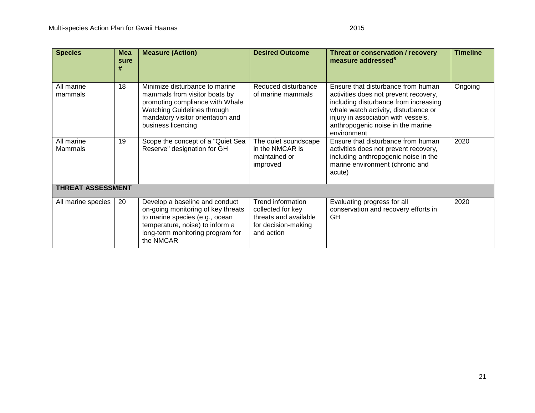| <b>Species</b>           | <b>Mea</b><br>sure<br># | <b>Measure (Action)</b>                                                                                                                                                                      | <b>Desired Outcome</b>                                                                               | Threat or conservation / recovery<br>measure addressed <sup>6</sup>                                                                                                                                                                                     | <b>Timeline</b> |  |
|--------------------------|-------------------------|----------------------------------------------------------------------------------------------------------------------------------------------------------------------------------------------|------------------------------------------------------------------------------------------------------|---------------------------------------------------------------------------------------------------------------------------------------------------------------------------------------------------------------------------------------------------------|-----------------|--|
| All marine<br>mammals    | 18                      | Minimize disturbance to marine<br>mammals from visitor boats by<br>promoting compliance with Whale<br>Watching Guidelines through<br>mandatory visitor orientation and<br>business licencing | Reduced disturbance<br>of marine mammals                                                             | Ensure that disturbance from human<br>activities does not prevent recovery,<br>including disturbance from increasing<br>whale watch activity, disturbance or<br>injury in association with vessels,<br>anthropogenic noise in the marine<br>environment | Ongoing         |  |
| All marine<br>Mammals    | 19                      | Scope the concept of a "Quiet Sea<br>Reserve" designation for GH                                                                                                                             | The quiet soundscape<br>in the NMCAR is<br>maintained or<br>improved                                 | Ensure that disturbance from human<br>activities does not prevent recovery,<br>including anthropogenic noise in the<br>marine environment (chronic and<br>acute)                                                                                        | 2020            |  |
| <b>THREAT ASSESSMENT</b> |                         |                                                                                                                                                                                              |                                                                                                      |                                                                                                                                                                                                                                                         |                 |  |
| All marine species       | 20                      | Develop a baseline and conduct<br>on-going monitoring of key threats<br>to marine species (e.g., ocean<br>temperature, noise) to inform a<br>long-term monitoring program for<br>the NMCAR   | Trend information<br>collected for key<br>threats and available<br>for decision-making<br>and action | Evaluating progress for all<br>conservation and recovery efforts in<br><b>GH</b>                                                                                                                                                                        | 2020            |  |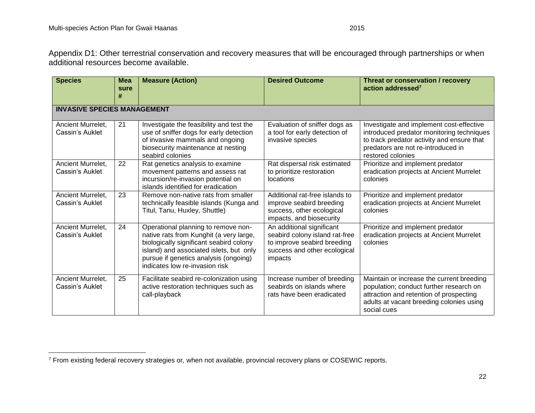Appendix D1: Other terrestrial conservation and recovery measures that will be encouraged through partnerships or when additional resources become available.

<span id="page-28-0"></span>

| <b>Species</b>                       | <b>Mea</b><br>sure<br># | <b>Measure (Action)</b>                                                                                                                                                                                                                         | <b>Desired Outcome</b>                                                                                                                | Threat or conservation / recovery<br>action addressed <sup>7</sup>                                                                                                                             |  |
|--------------------------------------|-------------------------|-------------------------------------------------------------------------------------------------------------------------------------------------------------------------------------------------------------------------------------------------|---------------------------------------------------------------------------------------------------------------------------------------|------------------------------------------------------------------------------------------------------------------------------------------------------------------------------------------------|--|
| <b>INVASIVE SPECIES MANAGEMENT</b>   |                         |                                                                                                                                                                                                                                                 |                                                                                                                                       |                                                                                                                                                                                                |  |
| Ancient Murrelet,<br>Cassin's Auklet | 21                      | Investigate the feasibility and test the<br>use of sniffer dogs for early detection<br>of invasive mammals and ongoing<br>biosecurity maintenance at nesting<br>seabird colonies                                                                | Evaluation of sniffer dogs as<br>a tool for early detection of<br>invasive species                                                    | Investigate and implement cost-effective<br>introduced predator monitoring techniques<br>to track predator activity and ensure that<br>predators are not re-introduced in<br>restored colonies |  |
| Ancient Murrelet,<br>Cassin's Auklet | 22                      | Rat genetics analysis to examine<br>movement patterns and assess rat<br>incursion/re-invasion potential on<br>islands identified for eradication                                                                                                | Rat dispersal risk estimated<br>to prioritize restoration<br>locations                                                                | Prioritize and implement predator<br>eradication projects at Ancient Murrelet<br>colonies                                                                                                      |  |
| Ancient Murrelet,<br>Cassin's Auklet | 23                      | Remove non-native rats from smaller<br>technically feasible islands (Kunga and<br>Titul, Tanu, Huxley, Shuttle)                                                                                                                                 | Additional rat-free islands to<br>improve seabird breeding<br>success, other ecological<br>impacts, and biosecurity                   | Prioritize and implement predator<br>eradication projects at Ancient Murrelet<br>colonies                                                                                                      |  |
| Ancient Murrelet,<br>Cassin's Auklet | 24                      | Operational planning to remove non-<br>native rats from Kunghit (a very large,<br>biologically significant seabird colony<br>island) and associated islets, but only<br>pursue if genetics analysis (ongoing)<br>indicates low re-invasion risk | An additional significant<br>seabird colony island rat-free<br>to improve seabird breeding<br>success and other ecological<br>impacts | Prioritize and implement predator<br>eradication projects at Ancient Murrelet<br>colonies                                                                                                      |  |
| Ancient Murrelet,<br>Cassin's Auklet | 25                      | Facilitate seabird re-colonization using<br>active restoration techniques such as<br>call-playback                                                                                                                                              | Increase number of breeding<br>seabirds on islands where<br>rats have been eradicated                                                 | Maintain or increase the current breeding<br>population; conduct further research on<br>attraction and retention of prospecting<br>adults at vacant breeding colonies using<br>social cues     |  |

 $\overline{a}$ <sup>7</sup> From existing federal recovery strategies or, when not available, provincial recovery plans or COSEWIC reports.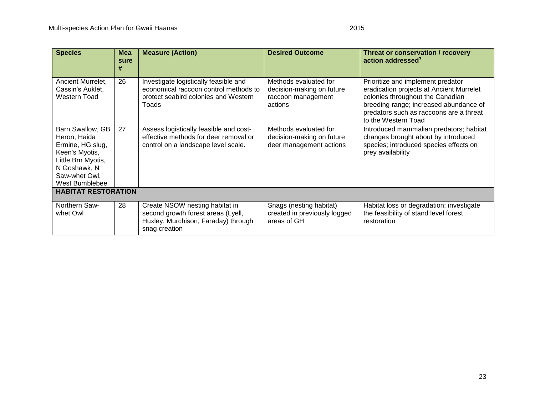| <b>Species</b>                                                                                                                                  | <b>Mea</b><br>sure<br># | <b>Measure (Action)</b>                                                                                                         | <b>Desired Outcome</b>                                                              | Threat or conservation / recovery<br>action addressed <sup>7</sup>                                                                                                                                                            |  |
|-------------------------------------------------------------------------------------------------------------------------------------------------|-------------------------|---------------------------------------------------------------------------------------------------------------------------------|-------------------------------------------------------------------------------------|-------------------------------------------------------------------------------------------------------------------------------------------------------------------------------------------------------------------------------|--|
| Ancient Murrelet,<br>Cassin's Auklet,<br>Western Toad                                                                                           | 26                      | Investigate logistically feasible and<br>economical raccoon control methods to<br>protect seabird colonies and Western<br>Toads | Methods evaluated for<br>decision-making on future<br>raccoon management<br>actions | Prioritize and implement predator<br>eradication projects at Ancient Murrelet<br>colonies throughout the Canadian<br>breeding range; increased abundance of<br>predators such as raccoons are a threat<br>to the Western Toad |  |
| Barn Swallow, GB<br>Heron, Haida<br>Ermine, HG slug,<br>Keen's Myotis,<br>Little Brn Myotis,<br>N Goshawk, N<br>Saw-whet Owl,<br>West Bumblebee | 27                      | Assess logistically feasible and cost-<br>effective methods for deer removal or<br>control on a landscape level scale.          | Methods evaluated for<br>decision-making on future<br>deer management actions       | Introduced mammalian predators; habitat<br>changes brought about by introduced<br>species; introduced species effects on<br>prey availability                                                                                 |  |
| <b>HABITAT RESTORATION</b>                                                                                                                      |                         |                                                                                                                                 |                                                                                     |                                                                                                                                                                                                                               |  |
| Northern Saw-<br>whet Owl                                                                                                                       | 28                      | Create NSOW nesting habitat in<br>second growth forest areas (Lyell,<br>Huxley, Murchison, Faraday) through<br>snag creation    | Snags (nesting habitat)<br>created in previously logged<br>areas of GH              | Habitat loss or degradation; investigate<br>the feasibility of stand level forest<br>restoration                                                                                                                              |  |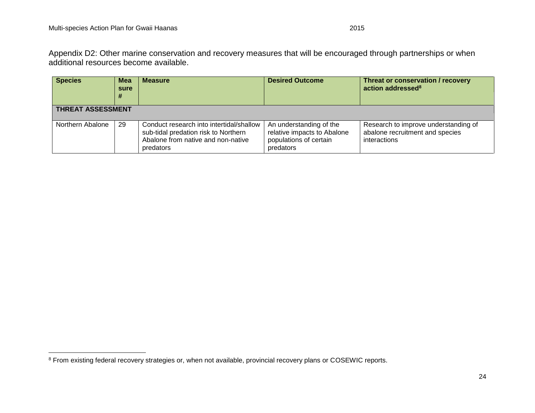Appendix D2: Other marine conservation and recovery measures that will be encouraged through partnerships or when additional resources become available.

<span id="page-30-0"></span>

| <b>Species</b>           | <b>Mea</b><br>sure | <b>Measure</b>                                                                                                                      | <b>Desired Outcome</b>                                                                        | Threat or conservation / recovery<br>action addressed <sup>8</sup>                      |  |  |
|--------------------------|--------------------|-------------------------------------------------------------------------------------------------------------------------------------|-----------------------------------------------------------------------------------------------|-----------------------------------------------------------------------------------------|--|--|
| <b>THREAT ASSESSMENT</b> |                    |                                                                                                                                     |                                                                                               |                                                                                         |  |  |
| Northern Abalone         | 29                 | Conduct research into intertidal/shallow<br>sub-tidal predation risk to Northern<br>Abalone from native and non-native<br>predators | An understanding of the<br>relative impacts to Abalone<br>populations of certain<br>predators | Research to improve understanding of<br>abalone recruitment and species<br>interactions |  |  |

<sup>8</sup> From existing federal recovery strategies or, when not available, provincial recovery plans or COSEWIC reports.